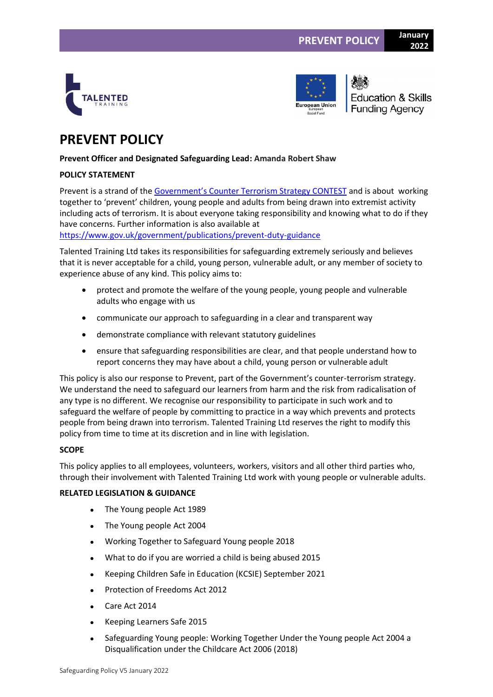



**Education & Skills Funding Agency** 

**2022**

# **PREVENT POLICY**

# **Prevent Officer and Designated Safeguarding Lead: Amanda Robert Shaw**

# **POLICY STATEMENT**

Prevent is a strand of the [Government's Counter Terrorism Strategy CONTEST](https://www.gov.uk/government/collections/contest) and is about working together to 'prevent' children, young people and adults from being drawn into extremist activity including acts of terrorism. It is about everyone taking responsibility and knowing what to do if they have concerns. Further information is also available at

<https://www.gov.uk/government/publications/prevent-duty-guidance>

Talented Training Ltd takes its responsibilities for safeguarding extremely seriously and believes that it is never acceptable for a child, young person, vulnerable adult, or any member of society to experience abuse of any kind. This policy aims to:

- protect and promote the welfare of the young people, young people and vulnerable adults who engage with us
- communicate our approach to safeguarding in a clear and transparent way
- demonstrate compliance with relevant statutory guidelines
- ensure that safeguarding responsibilities are clear, and that people understand how to report concerns they may have about a child, young person or vulnerable adult

This policy is also our response to Prevent, part of the Government's counter-terrorism strategy. We understand the need to safeguard our learners from harm and the risk from radicalisation of any type is no different. We recognise our responsibility to participate in such work and to safeguard the welfare of people by committing to practice in a way which prevents and protects people from being drawn into terrorism. Talented Training Ltd reserves the right to modify this policy from time to time at its discretion and in line with legislation.

# **SCOPE**

This policy applies to all employees, volunteers, workers, visitors and all other third parties who, through their involvement with Talented Training Ltd work with young people or vulnerable adults.

# **RELATED LEGISLATION & GUIDANCE**

- The Young people Act 1989
- The Young people Act 2004
- Working Together to Safeguard Young people 2018
- What to do if you are worried a child is being abused 2015
- Keeping Children Safe in Education (KCSIE) September 2021
- Protection of Freedoms Act 2012
- Care Act 2014
- Keeping Learners Safe 2015
- Safeguarding Young people: Working Together Under the Young people Act 2004 a Disqualification under the Childcare Act 2006 (2018)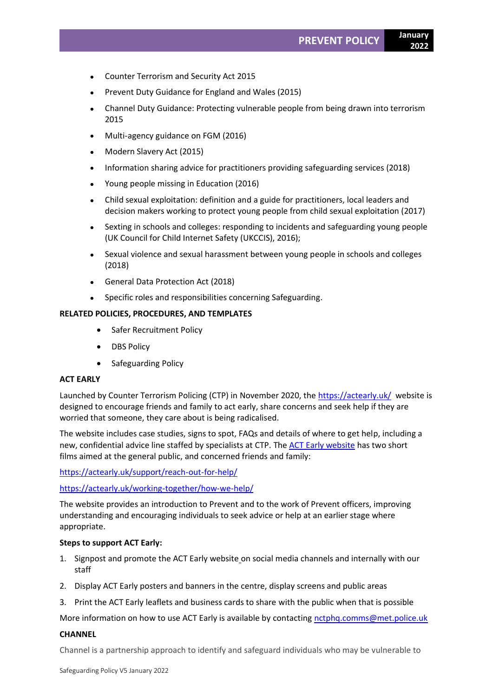- Counter Terrorism and Security Act 2015
- Prevent Duty Guidance for England and Wales (2015)
- Channel Duty Guidance: Protecting vulnerable people from being drawn into terrorism 2015
- Multi-agency guidance on FGM (2016)
- Modern Slavery Act (2015)
- Information sharing advice for practitioners providing safeguarding services (2018)
- Young people missing in Education (2016)
- Child sexual exploitation: definition and a guide for practitioners, local leaders and decision makers working to protect young people from child sexual exploitation (2017)
- Sexting in schools and colleges: responding to incidents and safeguarding young people (UK Council for Child Internet Safety (UKCCIS), 2016);
- Sexual violence and sexual harassment between young people in schools and colleges (2018)
- General Data Protection Act (2018)
- Specific roles and responsibilities concerning Safeguarding.

# **RELATED POLICIES, PROCEDURES, AND TEMPLATES**

- Safer Recruitment Policy
- DBS Policy
- Safeguarding Policy

# **ACT EARLY**

Launched by Counter Terrorism Policing (CTP) in November 2020, the<https://actearly.uk/>website is designed to encourage friends and family to act early, share concerns and seek help if they are worried that someone, they care about is being radicalised.

The website includes case studies, signs to spot, FAQs and details of where to get help, including a new, confidential advice line staffed by specialists at CTP. The [ACT Early website](https://protect-eu.mimecast.com/s/TlGHC4zpXFJoEp3FXO2UX?domain=eur02.safelinks.protection.outlook.com) has two short films aimed at the general public, and concerned friends and family:

[https://actearly.uk/support/reach-out-for-help/](https://protect-eu.mimecast.com/s/ZUuUC7pv4hmq2OoCE6uzm?domain=eur02.safelinks.protection.outlook.com)

[https://actearly.uk/working-together/how-we-help/](https://protect-eu.mimecast.com/s/-VBaC9Dx4um1A59CKWwLD?domain=eur02.safelinks.protection.outlook.com) 

The website provides an introduction to Prevent and to the work of Prevent officers, improving understanding and encouraging individuals to seek advice or help at an earlier stage where appropriate.

# **Steps to support ACT Early:**

- 1. Signpost and promote the ACT Early website on social media channels and internally with our staff
- 2. Display ACT Early posters and banners in the centre, display screens and public areas
- 3. Print the ACT Early leaflets and business cards to share with the public when that is possible

More information on how to use ACT Early is available by contacting [nctphq.comms@met.police.uk](mailto:nctphq.comms@met.police.uk)

# **CHANNEL**

Channel is a partnership approach to identify and safeguard individuals who may be vulnerable to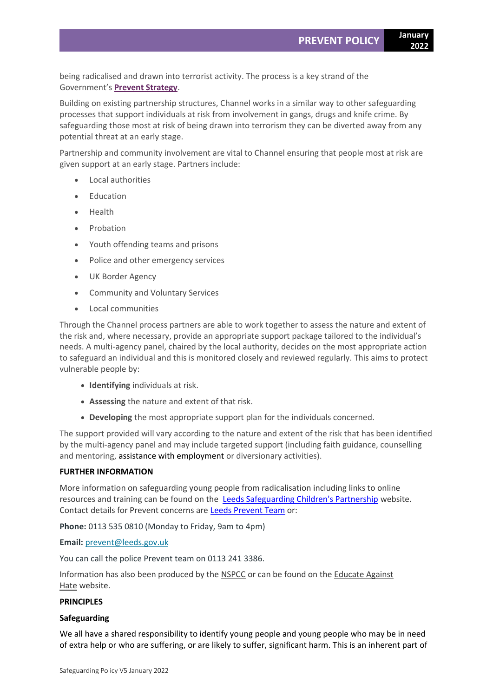being radicalised and drawn into terrorist activity. The process is a key strand of the Government's **[Prevent Strategy](https://www.gov.uk/government/publications/prevent-duty-guidance)**.

Building on existing partnership structures, Channel works in a similar way to other safeguarding processes that support individuals at risk from involvement in gangs, drugs and knife crime. By safeguarding those most at risk of being drawn into terrorism they can be diverted away from any potential threat at an early stage.

Partnership and community involvement are vital to Channel ensuring that people most at risk are given support at an early stage. Partners include:

- Local authorities
- **Education**
- Health
- Probation
- Youth offending teams and prisons
- Police and other emergency services
- UK Border Agency
- Community and Voluntary Services
- Local communities

Through the Channel process partners are able to work together to assess the nature and extent of the risk and, where necessary, provide an appropriate support package tailored to the individual's needs. A multi-agency panel, chaired by the local authority, decides on the most appropriate action to safeguard an individual and this is monitored closely and reviewed regularly. This aims to protect vulnerable people by:

- **Identifying** individuals at risk.
- **Assessing** the nature and extent of that risk.
- **Developing** the most appropriate support plan for the individuals concerned.

The support provided will vary according to the nature and extent of the risk that has been identified by the multi-agency panel and may include targeted support (including faith guidance, counselling and mentoring, assistance with employment or diversionary activities).

#### **FURTHER INFORMATION**

More information on safeguarding young people from radicalisation including links to online resources and training can be found on the **[Leeds Safeguarding Children's Partnership](https://www.leedsscp.org.uk/)** website. Contact details for Prevent concerns are [Leeds Prevent Team](https://www.leeds.gov.uk/plans-and-strategies/support-for-people-at-risk-of-radicalisation-(leeds-prevent)) or:

**Phone:** 0113 535 0810 (Monday to Friday, 9am to 4pm)

**Email:** [prevent@leeds.gov.uk](mailto:prevent@leeds.gov.uk)

You can call the police Prevent team on 0113 241 3386.

Information has also been produced by the [NSPCC](https://www.nspcc.org.uk/what-you-can-do/report-abuse/dedicated-helplines/protecting-children-from-radicalisation/) or can be found on the [Educate Against](https://educateagainsthate.com/)  [Hate](https://educateagainsthate.com/) website.

# **PRINCIPLES**

#### **Safeguarding**

We all have a shared responsibility to identify young people and young people who may be in need of extra help or who are suffering, or are likely to suffer, significant harm. This is an inherent part of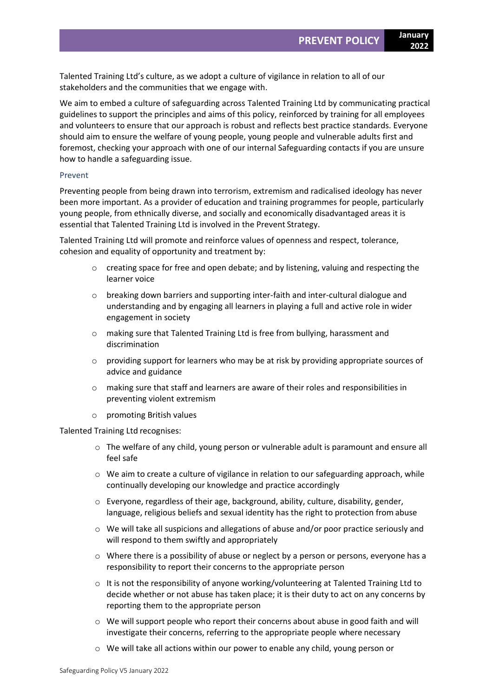Talented Training Ltd's culture, as we adopt a culture of vigilance in relation to all of our stakeholders and the communities that we engage with.

We aim to embed a culture of safeguarding across Talented Training Ltd by communicating practical guidelines to support the principles and aims of this policy, reinforced by training for all employees and volunteers to ensure that our approach is robust and reflects best practice standards. Everyone should aim to ensure the welfare of young people, young people and vulnerable adults first and foremost, checking your approach with one of our internal Safeguarding contacts if you are unsure how to handle a safeguarding issue.

#### Prevent

Preventing people from being drawn into terrorism, extremism and radicalised ideology has never been more important. As a provider of education and training programmes for people, particularly young people, from ethnically diverse, and socially and economically disadvantaged areas it is essential that Talented Training Ltd is involved in the Prevent Strategy.

Talented Training Ltd will promote and reinforce values of openness and respect, tolerance, cohesion and equality of opportunity and treatment by:

- o creating space for free and open debate; and by listening, valuing and respecting the learner voice
- $\circ$  breaking down barriers and supporting inter-faith and inter-cultural dialogue and understanding and by engaging all learners in playing a full and active role in wider engagement in society
- o making sure that Talented Training Ltd is free from bullying, harassment and discrimination
- $\circ$  providing support for learners who may be at risk by providing appropriate sources of advice and guidance
- o making sure that staff and learners are aware of their roles and responsibilities in preventing violent extremism
- o promoting British values

Talented Training Ltd recognises:

- o The welfare of any child, young person or vulnerable adult is paramount and ensure all feel safe
- $\circ$  We aim to create a culture of vigilance in relation to our safeguarding approach, while continually developing our knowledge and practice accordingly
- o Everyone, regardless of their age, background, ability, culture, disability, gender, language, religious beliefs and sexual identity has the right to protection from abuse
- o We will take all suspicions and allegations of abuse and/or poor practice seriously and will respond to them swiftly and appropriately
- o Where there is a possibility of abuse or neglect by a person or persons, everyone has a responsibility to report their concerns to the appropriate person
- $\circ$  It is not the responsibility of anyone working/volunteering at Talented Training Ltd to decide whether or not abuse has taken place; it is their duty to act on any concerns by reporting them to the appropriate person
- $\circ$  We will support people who report their concerns about abuse in good faith and will investigate their concerns, referring to the appropriate people where necessary
- o We will take all actions within our power to enable any child, young person or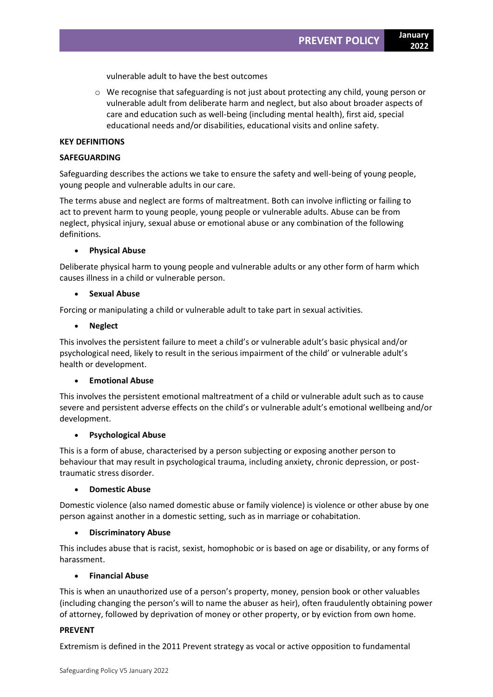vulnerable adult to have the best outcomes

 $\circ$  We recognise that safeguarding is not just about protecting any child, young person or vulnerable adult from deliberate harm and neglect, but also about broader aspects of care and education such as well-being (including mental health), first aid, special educational needs and/or disabilities, educational visits and online safety.

#### **KEY DEFINITIONS**

#### **SAFEGUARDING**

Safeguarding describes the actions we take to ensure the safety and well-being of young people, young people and vulnerable adults in our care.

The terms abuse and neglect are forms of maltreatment. Both can involve inflicting or failing to act to prevent harm to young people, young people or vulnerable adults. Abuse can be from neglect, physical injury, sexual abuse or emotional abuse or any combination of the following definitions.

#### • **Physical Abuse**

Deliberate physical harm to young people and vulnerable adults or any other form of harm which causes illness in a child or vulnerable person.

#### • **Sexual Abuse**

Forcing or manipulating a child or vulnerable adult to take part in sexual activities.

#### • **Neglect**

This involves the persistent failure to meet a child's or vulnerable adult's basic physical and/or psychological need, likely to result in the serious impairment of the child' or vulnerable adult's health or development.

# • **Emotional Abuse**

This involves the persistent emotional maltreatment of a child or vulnerable adult such as to cause severe and persistent adverse effects on the child's or vulnerable adult's emotional wellbeing and/or development.

# • **Psychological Abuse**

This is a form of abuse, characterised by a person subjecting or exposing another person to behaviour that may result in psychological trauma, including anxiety, chronic depression, or posttraumatic stress disorder.

#### • **Domestic Abuse**

Domestic violence (also named domestic abuse or family violence) is violence or other abuse by one person against another in a domestic setting, such as in marriage or cohabitation.

# • **Discriminatory Abuse**

This includes abuse that is racist, sexist, homophobic or is based on age or disability, or any forms of harassment.

# • **Financial Abuse**

This is when an unauthorized use of a person's property, money, pension book or other valuables (including changing the person's will to name the abuser as heir), often fraudulently obtaining power of attorney, followed by deprivation of money or other property, or by eviction from own home.

# **PREVENT**

Extremism is defined in the 2011 Prevent strategy as vocal or active opposition to fundamental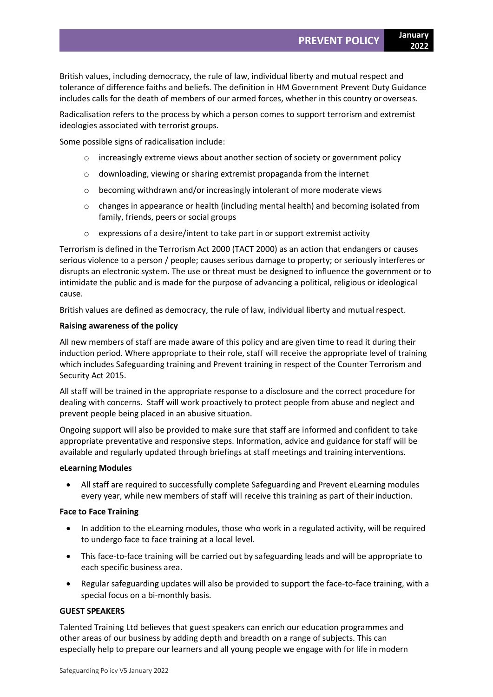British values, including democracy, the rule of law, individual liberty and mutual respect and tolerance of difference faiths and beliefs. The definition in HM Government Prevent Duty Guidance includes calls for the death of members of our armed forces, whether in this country or overseas.

Radicalisation refers to the process by which a person comes to support terrorism and extremist ideologies associated with terrorist groups.

Some possible signs of radicalisation include:

- o increasingly extreme views about another section of society or government policy
- o downloading, viewing or sharing extremist propaganda from the internet
- o becoming withdrawn and/or increasingly intolerant of more moderate views
- $\circ$  changes in appearance or health (including mental health) and becoming isolated from family, friends, peers or social groups
- o expressions of a desire/intent to take part in or support extremist activity

Terrorism is defined in the Terrorism Act 2000 (TACT 2000) as an action that endangers or causes serious violence to a person / people; causes serious damage to property; or seriously interferes or disrupts an electronic system. The use or threat must be designed to influence the government or to intimidate the public and is made for the purpose of advancing a political, religious or ideological cause.

British values are defined as democracy, the rule of law, individual liberty and mutual respect.

### **Raising awareness of the policy**

All new members of staff are made aware of this policy and are given time to read it during their induction period. Where appropriate to their role, staff will receive the appropriate level of training which includes Safeguarding training and Prevent training in respect of the Counter Terrorism and Security Act 2015.

All staff will be trained in the appropriate response to a disclosure and the correct procedure for dealing with concerns. Staff will work proactively to protect people from abuse and neglect and prevent people being placed in an abusive situation.

Ongoing support will also be provided to make sure that staff are informed and confident to take appropriate preventative and responsive steps. Information, advice and guidance for staff will be available and regularly updated through briefings at staff meetings and training interventions.

#### **eLearning Modules**

• All staff are required to successfully complete Safeguarding and Prevent eLearning modules every year, while new members of staff will receive this training as part of their induction.

#### **Face to Face Training**

- In addition to the eLearning modules, those who work in a regulated activity, will be required to undergo face to face training at a local level.
- This face-to-face training will be carried out by safeguarding leads and will be appropriate to each specific business area.
- Regular safeguarding updates will also be provided to support the face-to-face training, with a special focus on a bi-monthly basis.

# **GUEST SPEAKERS**

Talented Training Ltd believes that guest speakers can enrich our education programmes and other areas of our business by adding depth and breadth on a range of subjects. This can especially help to prepare our learners and all young people we engage with for life in modern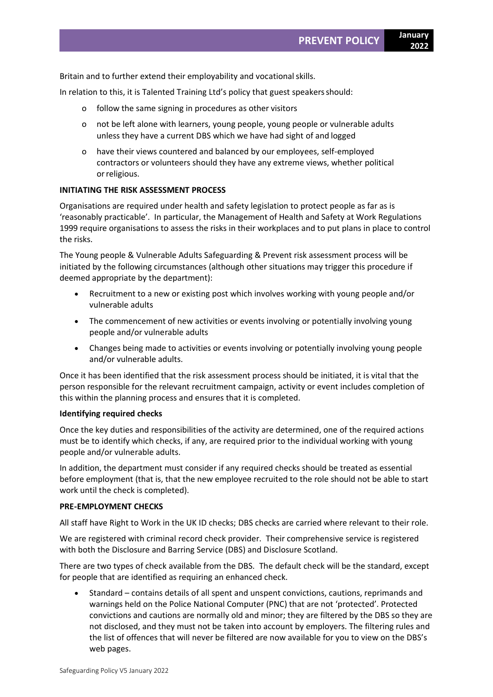Britain and to further extend their employability and vocational skills.

In relation to this, it is Talented Training Ltd's policy that guest speakersshould:

- o follow the same signing in procedures as other visitors
- o not be left alone with learners, young people, young people or vulnerable adults unless they have a current DBS which we have had sight of and logged
- o have their views countered and balanced by our employees, self-employed contractors or volunteers should they have any extreme views, whether political orreligious.

#### **INITIATING THE RISK ASSESSMENT PROCESS**

Organisations are required under health and safety legislation to protect people as far as is 'reasonably practicable'. In particular, the Management of Health and Safety at Work Regulations 1999 require organisations to assess the risks in their workplaces and to put plans in place to control the risks.

The Young people & Vulnerable Adults Safeguarding & Prevent risk assessment process will be initiated by the following circumstances (although other situations may trigger this procedure if deemed appropriate by the department):

- Recruitment to a new or existing post which involves working with young people and/or vulnerable adults
- The commencement of new activities or events involving or potentially involving young people and/or vulnerable adults
- Changes being made to activities or events involving or potentially involving young people and/or vulnerable adults.

Once it has been identified that the risk assessment process should be initiated, it is vital that the person responsible for the relevant recruitment campaign, activity or event includes completion of this within the planning process and ensures that it is completed.

#### **Identifying required checks**

Once the key duties and responsibilities of the activity are determined, one of the required actions must be to identify which checks, if any, are required prior to the individual working with young people and/or vulnerable adults.

In addition, the department must consider if any required checks should be treated as essential before employment (that is, that the new employee recruited to the role should not be able to start work until the check is completed).

#### **PRE-EMPLOYMENT CHECKS**

All staff have Right to Work in the UK ID checks; DBS checks are carried where relevant to their role.

We are registered with criminal record check provider. Their comprehensive service is registered with both the Disclosure and Barring Service (DBS) and Disclosure Scotland.

There are two types of check available from the DBS. The default check will be the standard, except for people that are identified as requiring an enhanced check.

• Standard – contains details of all spent and unspent convictions, cautions, reprimands and warnings held on the Police National Computer (PNC) that are not 'protected'. Protected convictions and cautions are normally old and minor; they are filtered by the DBS so they are not disclosed, and they must not be taken into account by employers. The filtering rules and the list of offences that will never be filtered are now available for you to view on the DBS's web pages.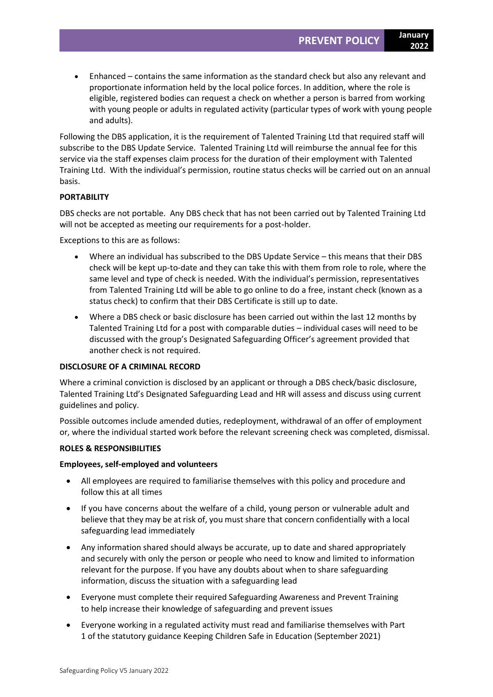• Enhanced – contains the same information as the standard check but also any relevant and proportionate information held by the local police forces. In addition, where the role is eligible, registered bodies can request a check on whether a person is barred from working with young people or adults in regulated activity (particular types of work with young people and adults).

Following the DBS application, it is the requirement of Talented Training Ltd that required staff will subscribe to the DBS Update Service. Talented Training Ltd will reimburse the annual fee for this service via the staff expenses claim process for the duration of their employment with Talented Training Ltd. With the individual's permission, routine status checks will be carried out on an annual basis.

# **PORTABILITY**

DBS checks are not portable. Any DBS check that has not been carried out by Talented Training Ltd will not be accepted as meeting our requirements for a post-holder.

Exceptions to this are as follows:

- Where an individual has subscribed to the DBS Update Service this means that their DBS check will be kept up-to-date and they can take this with them from role to role, where the same level and type of check is needed. With the individual's permission, representatives from Talented Training Ltd will be able to go online to do a free, instant check (known as a status check) to confirm that their DBS Certificate is still up to date.
- Where a DBS check or basic disclosure has been carried out within the last 12 months by Talented Training Ltd for a post with comparable duties – individual cases will need to be discussed with the group's Designated Safeguarding Officer's agreement provided that another check is not required.

# **DISCLOSURE OF A CRIMINAL RECORD**

Where a criminal conviction is disclosed by an applicant or through a DBS check/basic disclosure, Talented Training Ltd's Designated Safeguarding Lead and HR will assess and discuss using current guidelines and policy.

Possible outcomes include amended duties, redeployment, withdrawal of an offer of employment or, where the individual started work before the relevant screening check was completed, dismissal.

# **ROLES & RESPONSIBILITIES**

# **Employees, self-employed and volunteers**

- All employees are required to familiarise themselves with this policy and procedure and follow this at all times
- If you have concerns about the welfare of a child, young person or vulnerable adult and believe that they may be at risk of, you must share that concern confidentially with a local safeguarding lead immediately
- Any information shared should always be accurate, up to date and shared appropriately and securely with only the person or people who need to know and limited to information relevant for the purpose. If you have any doubts about when to share safeguarding information, discuss the situation with a safeguarding lead
- Everyone must complete their required Safeguarding Awareness and Prevent Training to help increase their knowledge of safeguarding and prevent issues
- Everyone working in a regulated activity must read and familiarise themselves with Part 1 of the statutory guidance Keeping Children Safe in Education (September 2021)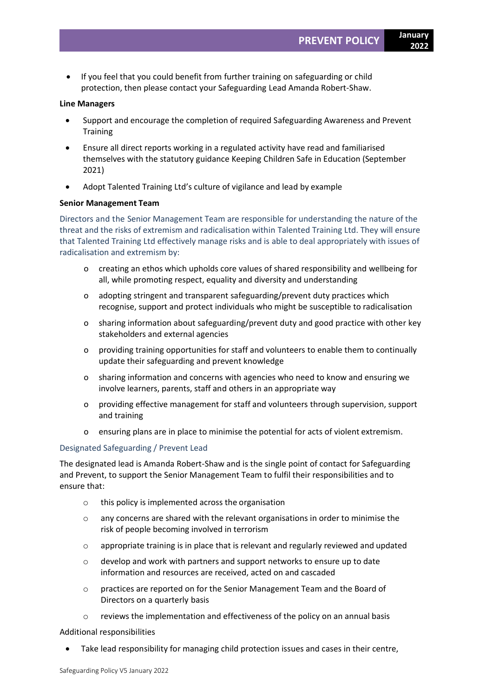• If you feel that you could benefit from further training on safeguarding or child protection, then please contact your Safeguarding Lead Amanda Robert-Shaw.

#### **Line Managers**

- Support and encourage the completion of required Safeguarding Awareness and Prevent **Training**
- Ensure all direct reports working in a regulated activity have read and familiarised themselves with the statutory guidance Keeping Children Safe in Education (September 2021)
- Adopt Talented Training Ltd's culture of vigilance and lead by example

#### **Senior Management Team**

Directors and the Senior Management Team are responsible for understanding the nature of the threat and the risks of extremism and radicalisation within Talented Training Ltd. They will ensure that Talented Training Ltd effectively manage risks and is able to deal appropriately with issues of radicalisation and extremism by:

- o creating an ethos which upholds core values of shared responsibility and wellbeing for all, while promoting respect, equality and diversity and understanding
- o adopting stringent and transparent safeguarding/prevent duty practices which recognise, support and protect individuals who might be susceptible to radicalisation
- o sharing information about safeguarding/prevent duty and good practice with other key stakeholders and external agencies
- o providing training opportunities for staff and volunteers to enable them to continually update their safeguarding and prevent knowledge
- o sharing information and concerns with agencies who need to know and ensuring we involve learners, parents, staff and others in an appropriate way
- o providing effective management for staff and volunteers through supervision, support and training
- o ensuring plans are in place to minimise the potential for acts of violent extremism.

# Designated Safeguarding / Prevent Lead

The designated lead is Amanda Robert-Shaw and is the single point of contact for Safeguarding and Prevent, to support the Senior Management Team to fulfil their responsibilities and to ensure that:

- o this policy is implemented across the organisation
- o any concerns are shared with the relevant organisations in order to minimise the risk of people becoming involved in terrorism
- o appropriate training is in place that is relevant and regularly reviewed and updated
- o develop and work with partners and support networks to ensure up to date information and resources are received, acted on and cascaded
- o practices are reported on for the Senior Management Team and the Board of Directors on a quarterly basis
- o reviews the implementation and effectiveness of the policy on an annual basis

Additional responsibilities

Take lead responsibility for managing child protection issues and cases in their centre,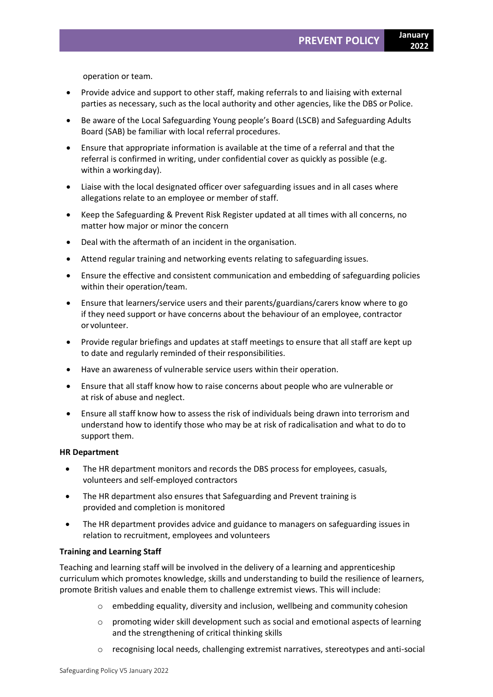operation or team.

- Provide advice and support to other staff, making referrals to and liaising with external parties as necessary, such as the local authority and other agencies, like the DBS or Police.
- Be aware of the Local Safeguarding Young people's Board (LSCB) and Safeguarding Adults Board (SAB) be familiar with local referral procedures.
- Ensure that appropriate information is available at the time of a referral and that the referral is confirmed in writing, under confidential cover as quickly as possible (e.g. within a workingday).
- Liaise with the local designated officer over safeguarding issues and in all cases where allegations relate to an employee or member of staff.
- Keep the Safeguarding & Prevent Risk Register updated at all times with all concerns, no matter how major or minor the concern
- Deal with the aftermath of an incident in the organisation.
- Attend regular training and networking events relating to safeguarding issues.
- Ensure the effective and consistent communication and embedding of safeguarding policies within their operation/team.
- Ensure that learners/service users and their parents/guardians/carers know where to go if they need support or have concerns about the behaviour of an employee, contractor or volunteer.
- Provide regular briefings and updates at staff meetings to ensure that all staff are kept up to date and regularly reminded of their responsibilities.
- Have an awareness of vulnerable service users within their operation.
- Ensure that all staff know how to raise concerns about people who are vulnerable or at risk of abuse and neglect.
- Ensure all staff know how to assess the risk of individuals being drawn into terrorism and understand how to identify those who may be at risk of radicalisation and what to do to support them.

#### **HR Department**

- The HR department monitors and records the DBS process for employees, casuals, volunteers and self-employed contractors
- The HR department also ensures that Safeguarding and Prevent training is provided and completion is monitored
- The HR department provides advice and guidance to managers on safeguarding issues in relation to recruitment, employees and volunteers

#### **Training and Learning Staff**

Teaching and learning staff will be involved in the delivery of a learning and apprenticeship curriculum which promotes knowledge, skills and understanding to build the resilience of learners, promote British values and enable them to challenge extremist views. This will include:

- $\circ$  embedding equality, diversity and inclusion, wellbeing and community cohesion
- $\circ$  promoting wider skill development such as social and emotional aspects of learning and the strengthening of critical thinking skills
- o recognising local needs, challenging extremist narratives, stereotypes and anti-social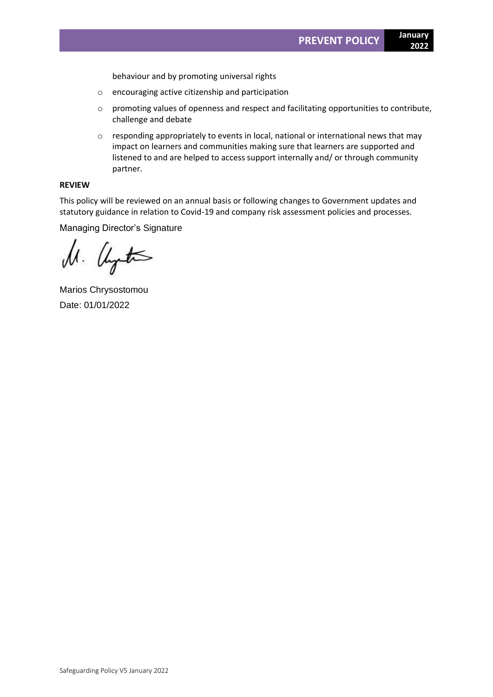behaviour and by promoting universal rights

- o encouraging active citizenship and participation
- o promoting values of openness and respect and facilitating opportunities to contribute, challenge and debate
- o responding appropriately to events in local, national or international news that may impact on learners and communities making sure that learners are supported and listened to and are helped to access support internally and/ or through community partner.

# **REVIEW**

This policy will be reviewed on an annual basis or following changes to Government updates and statutory guidance in relation to Covid-19 and company risk assessment policies and processes.

Managing Director's Signature

M. Uyuta

Marios Chrysostomou Date: 01/01/2022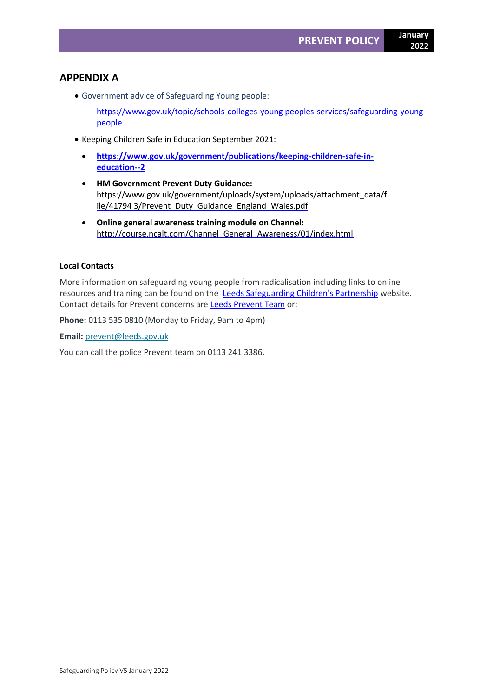# **APPENDIX A**

• Government advice of Safeguarding Young people:

[https://www.gov.uk/topic/schools-colleges-young peoples-services/safeguarding-young](https://www.gov.uk/topic/schools-colleges-childrens-services/safeguarding-children)  [people](https://www.gov.uk/topic/schools-colleges-childrens-services/safeguarding-children)

- Keeping Children Safe in Education September 2021:
	- **[https://www.gov.uk/government/publications/keeping-children-safe-in](https://www.gov.uk/government/publications/keeping-children-safe-in-education--2)[education--2](https://www.gov.uk/government/publications/keeping-children-safe-in-education--2)**
	- **HM Government Prevent Duty Guidance[:](https://www.gov.uk/government/uploads/system/uploads/attachment_data/file/41794%203/Prevent_Duty_Guidance_England_Wales.pdf)** [https://www.gov.uk/government/uploads/system/uploads/attachment\\_data/f](https://www.gov.uk/government/uploads/system/uploads/attachment_data/file/41794%203/Prevent_Duty_Guidance_England_Wales.pdf) [ile/41794](https://www.gov.uk/government/uploads/system/uploads/attachment_data/file/41794%203/Prevent_Duty_Guidance_England_Wales.pdf) [3/Prevent\\_Duty\\_Guidance\\_England\\_Wales.pdf](https://www.gov.uk/government/uploads/system/uploads/attachment_data/file/41794%203/Prevent_Duty_Guidance_England_Wales.pdf)
	- **Online general awareness training module on Channel[:](http://course.ncalt.com/Channel_General_Awareness/01/index.html)** [http://course.ncalt.com/Channel\\_General\\_Awareness/01/index.html](http://course.ncalt.com/Channel_General_Awareness/01/index.html)

# **Local Contacts**

More information on safeguarding young people from radicalisation including links to online resources and training can be found on the [Leeds Safeguarding Children's Partnership](https://www.leedsscp.org.uk/) website. Contact details for Prevent concerns are [Leeds Prevent Team](https://www.leeds.gov.uk/plans-and-strategies/support-for-people-at-risk-of-radicalisation-(leeds-prevent)) or:

**Phone:** 0113 535 0810 (Monday to Friday, 9am to 4pm)

**Email:** [prevent@leeds.gov.uk](mailto:prevent@leeds.gov.uk)

You can call the police Prevent team on 0113 241 3386.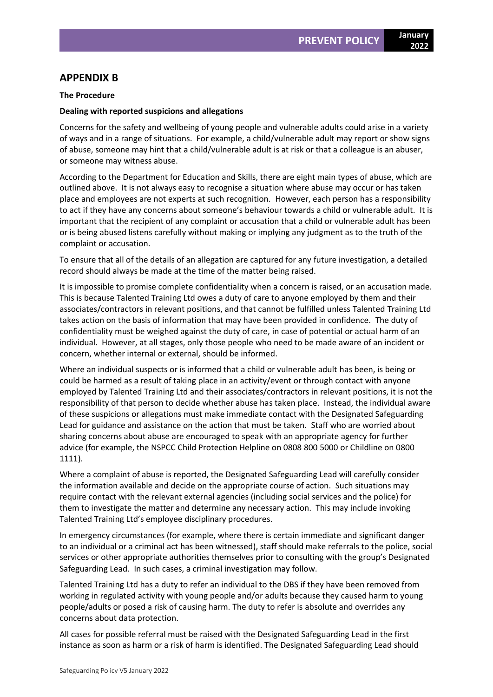# **APPENDIX B**

#### **The Procedure**

#### **Dealing with reported suspicions and allegations**

Concerns for the safety and wellbeing of young people and vulnerable adults could arise in a variety of ways and in a range of situations. For example, a child/vulnerable adult may report or show signs of abuse, someone may hint that a child/vulnerable adult is at risk or that a colleague is an abuser, or someone may witness abuse.

According to the Department for Education and Skills, there are eight main types of abuse, which are outlined above. It is not always easy to recognise a situation where abuse may occur or has taken place and employees are not experts at such recognition. However, each person has a responsibility to act if they have any concerns about someone's behaviour towards a child or vulnerable adult. It is important that the recipient of any complaint or accusation that a child or vulnerable adult has been or is being abused listens carefully without making or implying any judgment as to the truth of the complaint or accusation.

To ensure that all of the details of an allegation are captured for any future investigation, a detailed record should always be made at the time of the matter being raised.

It is impossible to promise complete confidentiality when a concern is raised, or an accusation made. This is because Talented Training Ltd owes a duty of care to anyone employed by them and their associates/contractors in relevant positions, and that cannot be fulfilled unless Talented Training Ltd takes action on the basis of information that may have been provided in confidence. The duty of confidentiality must be weighed against the duty of care, in case of potential or actual harm of an individual. However, at all stages, only those people who need to be made aware of an incident or concern, whether internal or external, should be informed.

Where an individual suspects or is informed that a child or vulnerable adult has been, is being or could be harmed as a result of taking place in an activity/event or through contact with anyone employed by Talented Training Ltd and their associates/contractors in relevant positions, it is not the responsibility of that person to decide whether abuse has taken place. Instead, the individual aware of these suspicions or allegations must make immediate contact with the Designated Safeguarding Lead for guidance and assistance on the action that must be taken. Staff who are worried about sharing concerns about abuse are encouraged to speak with an appropriate agency for further advice (for example, the NSPCC Child Protection Helpline on 0808 800 5000 or Childline on 0800 1111).

Where a complaint of abuse is reported, the Designated Safeguarding Lead will carefully consider the information available and decide on the appropriate course of action. Such situations may require contact with the relevant external agencies (including social services and the police) for them to investigate the matter and determine any necessary action. This may include invoking Talented Training Ltd's employee disciplinary procedures.

In emergency circumstances (for example, where there is certain immediate and significant danger to an individual or a criminal act has been witnessed), staff should make referrals to the police, social services or other appropriate authorities themselves prior to consulting with the group's Designated Safeguarding Lead. In such cases, a criminal investigation may follow.

Talented Training Ltd has a duty to refer an individual to the DBS if they have been removed from working in regulated activity with young people and/or adults because they caused harm to young people/adults or posed a risk of causing harm. The duty to refer is absolute and overrides any concerns about data protection.

All cases for possible referral must be raised with the Designated Safeguarding Lead in the first instance as soon as harm or a risk of harm is identified. The Designated Safeguarding Lead should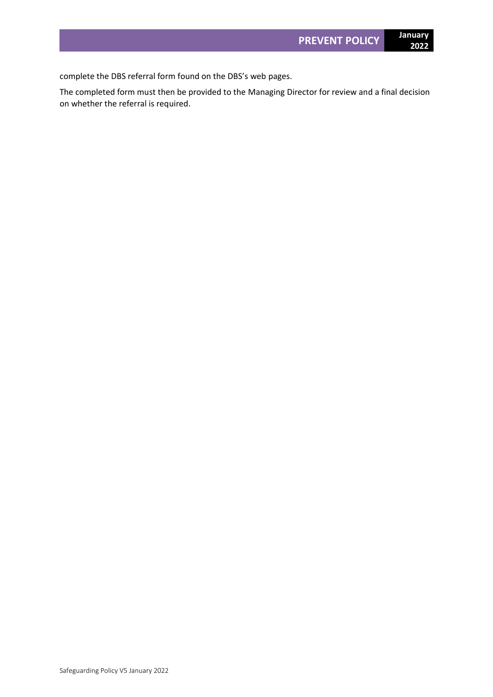The completed form must then be provided to the Managing Director for review and a final decision on whether the referral is required.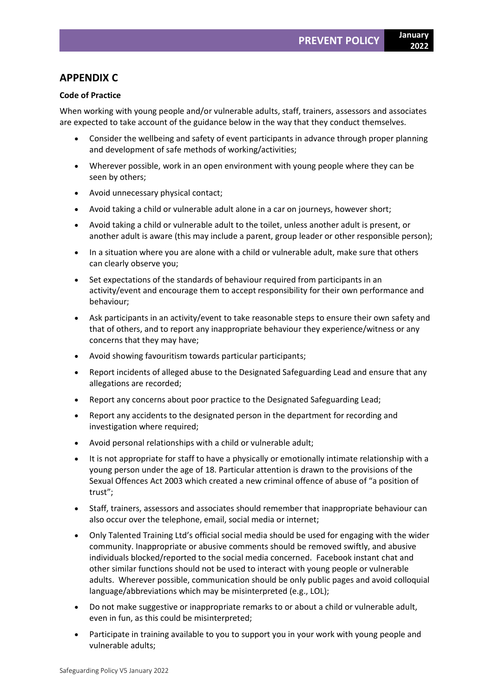# **APPENDIX C**

# **Code of Practice**

When working with young people and/or vulnerable adults, staff, trainers, assessors and associates are expected to take account of the guidance below in the way that they conduct themselves.

- Consider the wellbeing and safety of event participants in advance through proper planning and development of safe methods of working/activities;
- Wherever possible, work in an open environment with young people where they can be seen by others;
- Avoid unnecessary physical contact;
- Avoid taking a child or vulnerable adult alone in a car on journeys, however short;
- Avoid taking a child or vulnerable adult to the toilet, unless another adult is present, or another adult is aware (this may include a parent, group leader or other responsible person);
- In a situation where you are alone with a child or vulnerable adult, make sure that others can clearly observe you;
- Set expectations of the standards of behaviour required from participants in an activity/event and encourage them to accept responsibility for their own performance and behaviour;
- Ask participants in an activity/event to take reasonable steps to ensure their own safety and that of others, and to report any inappropriate behaviour they experience/witness or any concerns that they may have;
- Avoid showing favouritism towards particular participants;
- Report incidents of alleged abuse to the Designated Safeguarding Lead and ensure that any allegations are recorded;
- Report any concerns about poor practice to the Designated Safeguarding Lead;
- Report any accidents to the designated person in the department for recording and investigation where required;
- Avoid personal relationships with a child or vulnerable adult;
- It is not appropriate for staff to have a physically or emotionally intimate relationship with a young person under the age of 18. Particular attention is drawn to the provisions of the Sexual Offences Act 2003 which created a new criminal offence of abuse of "a position of trust";
- Staff, trainers, assessors and associates should remember that inappropriate behaviour can also occur over the telephone, email, social media or internet;
- Only Talented Training Ltd's official social media should be used for engaging with the wider community. Inappropriate or abusive comments should be removed swiftly, and abusive individuals blocked/reported to the social media concerned. Facebook instant chat and other similar functions should not be used to interact with young people or vulnerable adults. Wherever possible, communication should be only public pages and avoid colloquial language/abbreviations which may be misinterpreted (e.g., LOL);
- Do not make suggestive or inappropriate remarks to or about a child or vulnerable adult, even in fun, as this could be misinterpreted;
- Participate in training available to you to support you in your work with young people and vulnerable adults;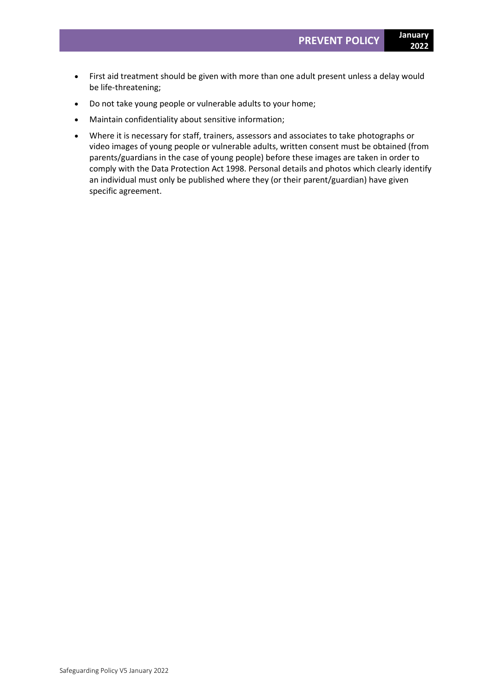- First aid treatment should be given with more than one adult present unless a delay would be life-threatening;
- Do not take young people or vulnerable adults to your home;
- Maintain confidentiality about sensitive information;
- Where it is necessary for staff, trainers, assessors and associates to take photographs or video images of young people or vulnerable adults, written consent must be obtained (from parents/guardians in the case of young people) before these images are taken in order to comply with the Data Protection Act 1998. Personal details and photos which clearly identify an individual must only be published where they (or their parent/guardian) have given specific agreement.